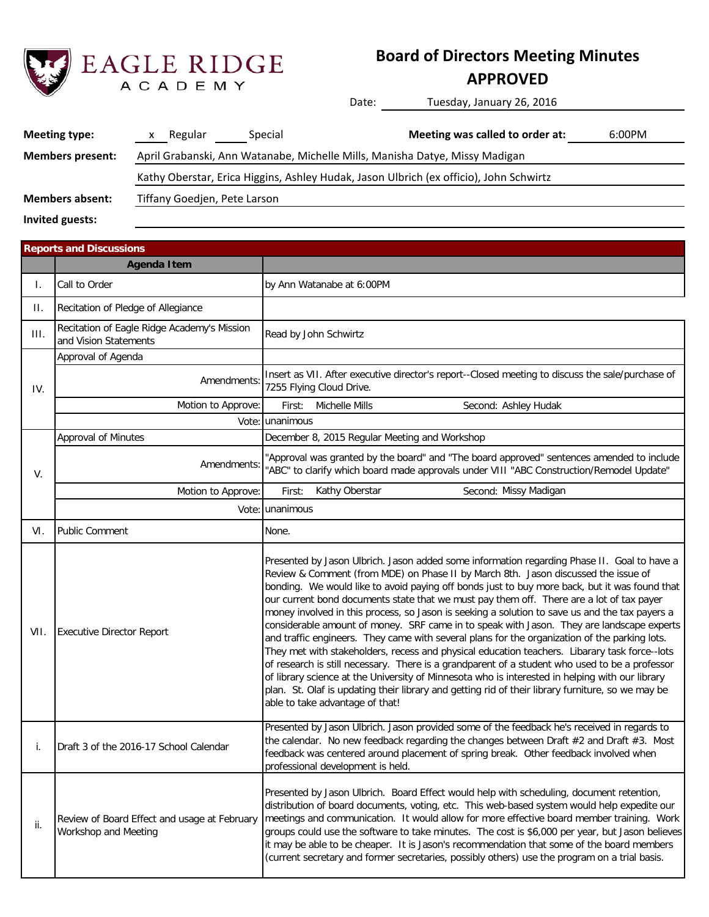

## **Board of Directors Meeting Minutes**

### **APPROVED**

Date: Tuesday, January 26, 2016

| <b>Meeting type:</b>                                   | Regular<br>x                                                                           | Special | Meeting was called to order at: | 6:00PM |  |  |  |  |
|--------------------------------------------------------|----------------------------------------------------------------------------------------|---------|---------------------------------|--------|--|--|--|--|
| <b>Members present:</b>                                | April Grabanski, Ann Watanabe, Michelle Mills, Manisha Datye, Missy Madigan            |         |                                 |        |  |  |  |  |
|                                                        | Kathy Oberstar, Erica Higgins, Ashley Hudak, Jason Ulbrich (ex officio), John Schwirtz |         |                                 |        |  |  |  |  |
| <b>Members absent:</b><br>Tiffany Goedjen, Pete Larson |                                                                                        |         |                                 |        |  |  |  |  |
|                                                        |                                                                                        |         |                                 |        |  |  |  |  |

**Invited guests:**

|      | <b>Reports and Discussions</b>                                       |                                                                                                                                                                                                                                                                                                                                                                                                                                                                                                                                                                                                                                                                                                                                                                                                                                                                                                                                                                                                                                                                                                                              |  |  |  |  |  |  |
|------|----------------------------------------------------------------------|------------------------------------------------------------------------------------------------------------------------------------------------------------------------------------------------------------------------------------------------------------------------------------------------------------------------------------------------------------------------------------------------------------------------------------------------------------------------------------------------------------------------------------------------------------------------------------------------------------------------------------------------------------------------------------------------------------------------------------------------------------------------------------------------------------------------------------------------------------------------------------------------------------------------------------------------------------------------------------------------------------------------------------------------------------------------------------------------------------------------------|--|--|--|--|--|--|
|      | <b>Agenda Item</b>                                                   |                                                                                                                                                                                                                                                                                                                                                                                                                                                                                                                                                                                                                                                                                                                                                                                                                                                                                                                                                                                                                                                                                                                              |  |  |  |  |  |  |
| I.   | Call to Order                                                        | by Ann Watanabe at 6:00PM                                                                                                                                                                                                                                                                                                                                                                                                                                                                                                                                                                                                                                                                                                                                                                                                                                                                                                                                                                                                                                                                                                    |  |  |  |  |  |  |
| Н.   | Recitation of Pledge of Allegiance                                   |                                                                                                                                                                                                                                                                                                                                                                                                                                                                                                                                                                                                                                                                                                                                                                                                                                                                                                                                                                                                                                                                                                                              |  |  |  |  |  |  |
| III. | Recitation of Eagle Ridge Academy's Mission<br>and Vision Statements | Read by John Schwirtz                                                                                                                                                                                                                                                                                                                                                                                                                                                                                                                                                                                                                                                                                                                                                                                                                                                                                                                                                                                                                                                                                                        |  |  |  |  |  |  |
|      | Approval of Agenda                                                   |                                                                                                                                                                                                                                                                                                                                                                                                                                                                                                                                                                                                                                                                                                                                                                                                                                                                                                                                                                                                                                                                                                                              |  |  |  |  |  |  |
| IV.  | Amendments:                                                          | Insert as VII. After executive director's report--Closed meeting to discuss the sale/purchase of<br>7255 Flying Cloud Drive.                                                                                                                                                                                                                                                                                                                                                                                                                                                                                                                                                                                                                                                                                                                                                                                                                                                                                                                                                                                                 |  |  |  |  |  |  |
|      | Motion to Approve:                                                   | <b>Michelle Mills</b><br>Second: Ashley Hudak<br>First:                                                                                                                                                                                                                                                                                                                                                                                                                                                                                                                                                                                                                                                                                                                                                                                                                                                                                                                                                                                                                                                                      |  |  |  |  |  |  |
|      |                                                                      | Vote: unanimous                                                                                                                                                                                                                                                                                                                                                                                                                                                                                                                                                                                                                                                                                                                                                                                                                                                                                                                                                                                                                                                                                                              |  |  |  |  |  |  |
|      | <b>Approval of Minutes</b>                                           | December 8, 2015 Regular Meeting and Workshop                                                                                                                                                                                                                                                                                                                                                                                                                                                                                                                                                                                                                                                                                                                                                                                                                                                                                                                                                                                                                                                                                |  |  |  |  |  |  |
| V.   | Amendments:                                                          | 'Approval was granted by the board" and "The board approved" sentences amended to include<br>"ABC" to clarify which board made approvals under VIII "ABC Construction/Remodel Update"                                                                                                                                                                                                                                                                                                                                                                                                                                                                                                                                                                                                                                                                                                                                                                                                                                                                                                                                        |  |  |  |  |  |  |
|      | Motion to Approve:                                                   | Kathy Oberstar<br>Second: Missy Madigan<br>First:                                                                                                                                                                                                                                                                                                                                                                                                                                                                                                                                                                                                                                                                                                                                                                                                                                                                                                                                                                                                                                                                            |  |  |  |  |  |  |
|      |                                                                      | Vote: unanimous                                                                                                                                                                                                                                                                                                                                                                                                                                                                                                                                                                                                                                                                                                                                                                                                                                                                                                                                                                                                                                                                                                              |  |  |  |  |  |  |
| VI.  | <b>Public Comment</b>                                                | None.                                                                                                                                                                                                                                                                                                                                                                                                                                                                                                                                                                                                                                                                                                                                                                                                                                                                                                                                                                                                                                                                                                                        |  |  |  |  |  |  |
| VII. | <b>Executive Director Report</b>                                     | Presented by Jason Ulbrich. Jason added some information regarding Phase II. Goal to have a<br>Review & Comment (from MDE) on Phase II by March 8th. Jason discussed the issue of<br>bonding. We would like to avoid paying off bonds just to buy more back, but it was found that<br>our current bond documents state that we must pay them off. There are a lot of tax payer<br>money involved in this process, so Jason is seeking a solution to save us and the tax payers a<br>considerable amount of money. SRF came in to speak with Jason. They are landscape experts<br>and traffic engineers. They came with several plans for the organization of the parking lots.<br>They met with stakeholders, recess and physical education teachers. Libarary task force--lots<br>of research is still necessary. There is a grandparent of a student who used to be a professor<br>of library science at the University of Minnesota who is interested in helping with our library<br>plan. St. Olaf is updating their library and getting rid of their library furniture, so we may be<br>able to take advantage of that! |  |  |  |  |  |  |
| i.   | Draft 3 of the 2016-17 School Calendar                               | Presented by Jason Ulbrich. Jason provided some of the feedback he's received in regards to<br>the calendar. No new feedback regarding the changes between Draft $#2$ and Draft $#3$ . Most<br>feedback was centered around placement of spring break. Other feedback involved when<br>professional development is held.                                                                                                                                                                                                                                                                                                                                                                                                                                                                                                                                                                                                                                                                                                                                                                                                     |  |  |  |  |  |  |
| ii.  | Review of Board Effect and usage at February<br>Workshop and Meeting | Presented by Jason Ulbrich. Board Effect would help with scheduling, document retention,<br>distribution of board documents, voting, etc. This web-based system would help expedite our<br>meetings and communication. It would allow for more effective board member training. Work<br>groups could use the software to take minutes. The cost is \$6,000 per year, but Jason believes<br>it may be able to be cheaper. It is Jason's recommendation that some of the board members<br>(current secretary and former secretaries, possibly others) use the program on a trial basis.                                                                                                                                                                                                                                                                                                                                                                                                                                                                                                                                        |  |  |  |  |  |  |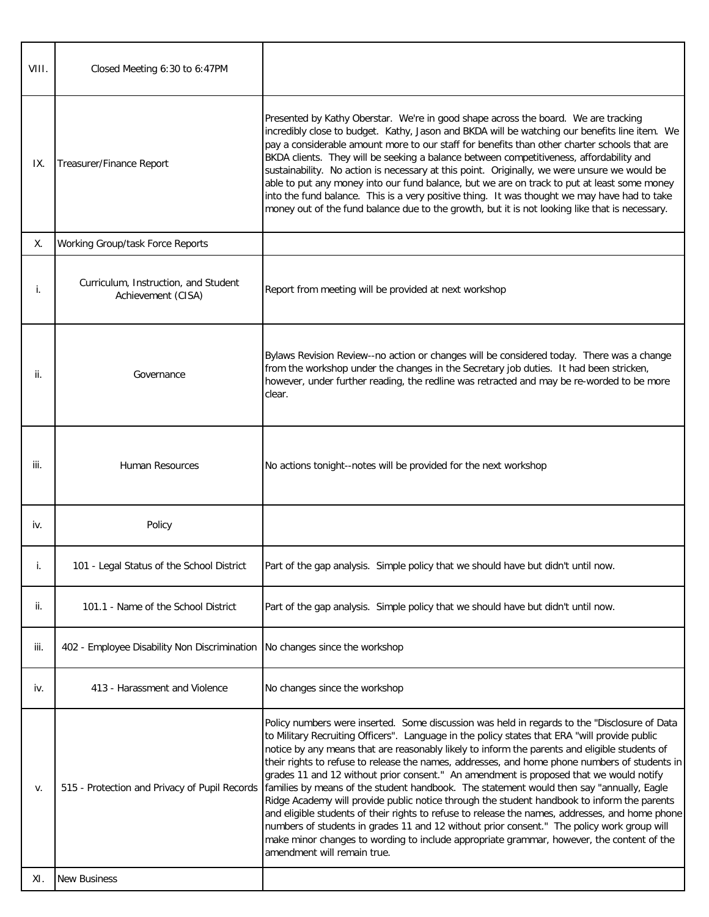| VIII. | Closed Meeting 6:30 to 6:47PM                              |                                                                                                                                                                                                                                                                                                                                                                                                                                                                                                                                                                                                                                                                                                                                                                                                                                                                                                                                                                                                                   |
|-------|------------------------------------------------------------|-------------------------------------------------------------------------------------------------------------------------------------------------------------------------------------------------------------------------------------------------------------------------------------------------------------------------------------------------------------------------------------------------------------------------------------------------------------------------------------------------------------------------------------------------------------------------------------------------------------------------------------------------------------------------------------------------------------------------------------------------------------------------------------------------------------------------------------------------------------------------------------------------------------------------------------------------------------------------------------------------------------------|
| IX.   | Treasurer/Finance Report                                   | Presented by Kathy Oberstar. We're in good shape across the board. We are tracking<br>incredibly close to budget. Kathy, Jason and BKDA will be watching our benefits line item. We<br>pay a considerable amount more to our staff for benefits than other charter schools that are<br>BKDA clients. They will be seeking a balance between competitiveness, affordability and<br>sustainability. No action is necessary at this point. Originally, we were unsure we would be<br>able to put any money into our fund balance, but we are on track to put at least some money<br>into the fund balance. This is a very positive thing. It was thought we may have had to take<br>money out of the fund balance due to the growth, but it is not looking like that is necessary.                                                                                                                                                                                                                                   |
| Χ.    | Working Group/task Force Reports                           |                                                                                                                                                                                                                                                                                                                                                                                                                                                                                                                                                                                                                                                                                                                                                                                                                                                                                                                                                                                                                   |
| Ť.    | Curriculum, Instruction, and Student<br>Achievement (CISA) | Report from meeting will be provided at next workshop                                                                                                                                                                                                                                                                                                                                                                                                                                                                                                                                                                                                                                                                                                                                                                                                                                                                                                                                                             |
| ii.   | Governance                                                 | Bylaws Revision Review--no action or changes will be considered today. There was a change<br>from the workshop under the changes in the Secretary job duties. It had been stricken,<br>however, under further reading, the redline was retracted and may be re-worded to be more<br>clear.                                                                                                                                                                                                                                                                                                                                                                                                                                                                                                                                                                                                                                                                                                                        |
| iii.  | <b>Human Resources</b>                                     | No actions tonight--notes will be provided for the next workshop                                                                                                                                                                                                                                                                                                                                                                                                                                                                                                                                                                                                                                                                                                                                                                                                                                                                                                                                                  |
| iv.   | Policy                                                     |                                                                                                                                                                                                                                                                                                                                                                                                                                                                                                                                                                                                                                                                                                                                                                                                                                                                                                                                                                                                                   |
|       | 101 - Legal Status of the School District                  | Part of the gap analysis. Simple policy that we should have but didn't until now.                                                                                                                                                                                                                                                                                                                                                                                                                                                                                                                                                                                                                                                                                                                                                                                                                                                                                                                                 |
| ii.   | 101.1 - Name of the School District                        | Part of the gap analysis. Simple policy that we should have but didn't until now.                                                                                                                                                                                                                                                                                                                                                                                                                                                                                                                                                                                                                                                                                                                                                                                                                                                                                                                                 |
| iii.  | 402 - Employee Disability Non Discrimination               | No changes since the workshop                                                                                                                                                                                                                                                                                                                                                                                                                                                                                                                                                                                                                                                                                                                                                                                                                                                                                                                                                                                     |
| iv.   | 413 - Harassment and Violence                              | No changes since the workshop                                                                                                                                                                                                                                                                                                                                                                                                                                                                                                                                                                                                                                                                                                                                                                                                                                                                                                                                                                                     |
| v.    | 515 - Protection and Privacy of Pupil Records              | Policy numbers were inserted. Some discussion was held in regards to the "Disclosure of Data<br>to Military Recruiting Officers". Language in the policy states that ERA "will provide public<br>notice by any means that are reasonably likely to inform the parents and eligible students of<br>their rights to refuse to release the names, addresses, and home phone numbers of students in<br>grades 11 and 12 without prior consent." An amendment is proposed that we would notify<br>families by means of the student handbook. The statement would then say "annually, Eagle<br>Ridge Academy will provide public notice through the student handbook to inform the parents<br>and eligible students of their rights to refuse to release the names, addresses, and home phone<br>numbers of students in grades 11 and 12 without prior consent." The policy work group will<br>make minor changes to wording to include appropriate grammar, however, the content of the<br>amendment will remain true. |
| XI.   | <b>New Business</b>                                        |                                                                                                                                                                                                                                                                                                                                                                                                                                                                                                                                                                                                                                                                                                                                                                                                                                                                                                                                                                                                                   |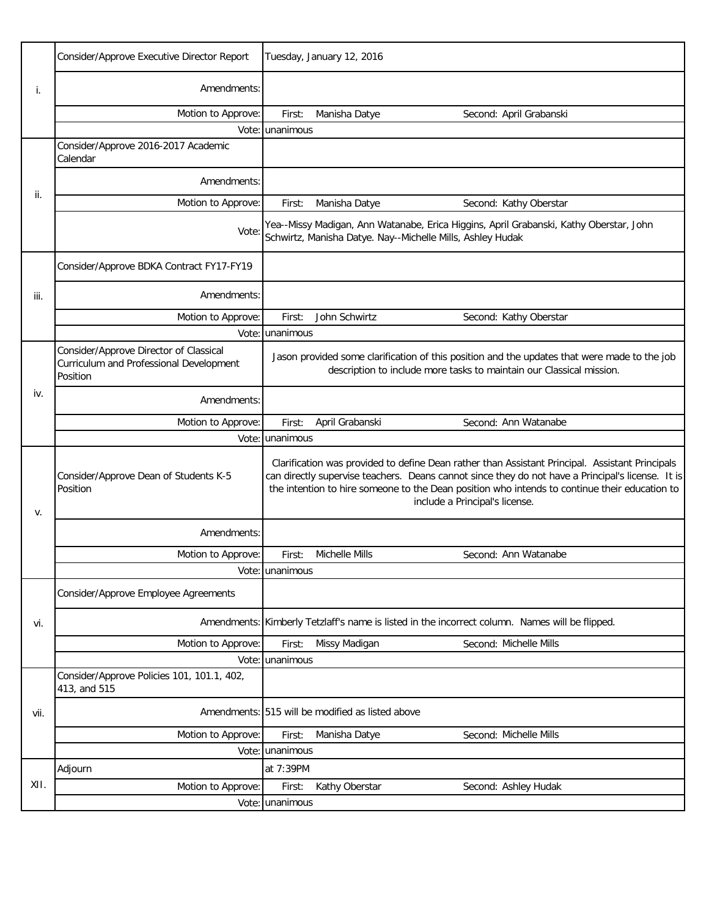|      | Consider/Approve Executive Director Report                                                    | Tuesday, January 12, 2016 |                                                  |                                                                                                                                                                                                                                                                                                                                         |
|------|-----------------------------------------------------------------------------------------------|---------------------------|--------------------------------------------------|-----------------------------------------------------------------------------------------------------------------------------------------------------------------------------------------------------------------------------------------------------------------------------------------------------------------------------------------|
| i.   | Amendments:                                                                                   |                           |                                                  |                                                                                                                                                                                                                                                                                                                                         |
|      | Motion to Approve:                                                                            | First:                    | Manisha Datye                                    | Second: April Grabanski                                                                                                                                                                                                                                                                                                                 |
|      |                                                                                               | Vote: unanimous           |                                                  |                                                                                                                                                                                                                                                                                                                                         |
|      | Consider/Approve 2016-2017 Academic<br>Calendar                                               |                           |                                                  |                                                                                                                                                                                                                                                                                                                                         |
| ii.  | Amendments:                                                                                   |                           |                                                  |                                                                                                                                                                                                                                                                                                                                         |
|      | Motion to Approve:                                                                            | First:                    | Manisha Datye                                    | Second: Kathy Oberstar                                                                                                                                                                                                                                                                                                                  |
|      | Vote:                                                                                         |                           |                                                  | Yea--Missy Madigan, Ann Watanabe, Erica Higgins, April Grabanski, Kathy Oberstar, John<br>Schwirtz, Manisha Datye. Nay--Michelle Mills, Ashley Hudak                                                                                                                                                                                    |
|      | Consider/Approve BDKA Contract FY17-FY19                                                      |                           |                                                  |                                                                                                                                                                                                                                                                                                                                         |
| iii. | Amendments:                                                                                   |                           |                                                  |                                                                                                                                                                                                                                                                                                                                         |
|      | Motion to Approve:                                                                            | First:                    | John Schwirtz                                    | Second: Kathy Oberstar                                                                                                                                                                                                                                                                                                                  |
|      |                                                                                               | Vote: unanimous           |                                                  |                                                                                                                                                                                                                                                                                                                                         |
|      | Consider/Approve Director of Classical<br>Curriculum and Professional Development<br>Position |                           |                                                  | Jason provided some clarification of this position and the updates that were made to the job<br>description to include more tasks to maintain our Classical mission.                                                                                                                                                                    |
| iv.  | Amendments:                                                                                   |                           |                                                  |                                                                                                                                                                                                                                                                                                                                         |
|      | Motion to Approve:                                                                            | First:                    | April Grabanski                                  | Second: Ann Watanabe                                                                                                                                                                                                                                                                                                                    |
|      |                                                                                               | Vote: unanimous           |                                                  |                                                                                                                                                                                                                                                                                                                                         |
| v.   | Consider/Approve Dean of Students K-5<br>Position                                             |                           |                                                  | Clarification was provided to define Dean rather than Assistant Principal. Assistant Principals<br>can directly supervise teachers. Deans cannot since they do not have a Principal's license. It is<br>the intention to hire someone to the Dean position who intends to continue their education to<br>include a Principal's license. |
|      | Amendments:                                                                                   |                           |                                                  |                                                                                                                                                                                                                                                                                                                                         |
|      | Motion to Approve:                                                                            | First:                    | Michelle Mills                                   | Second: Ann Watanabe                                                                                                                                                                                                                                                                                                                    |
|      |                                                                                               | Vote: unanimous           |                                                  |                                                                                                                                                                                                                                                                                                                                         |
|      | Consider/Approve Employee Agreements                                                          |                           |                                                  |                                                                                                                                                                                                                                                                                                                                         |
| vi.  |                                                                                               |                           |                                                  | Amendments: Kimberly Tetzlaff's name is listed in the incorrect column. Names will be flipped.                                                                                                                                                                                                                                          |
|      | Motion to Approve:                                                                            | First:                    | Missy Madigan                                    | Second: Michelle Mills                                                                                                                                                                                                                                                                                                                  |
|      |                                                                                               | Vote: unanimous           |                                                  |                                                                                                                                                                                                                                                                                                                                         |
|      | Consider/Approve Policies 101, 101.1, 402,<br>413, and 515                                    |                           |                                                  |                                                                                                                                                                                                                                                                                                                                         |
| vii. |                                                                                               |                           | Amendments: 515 will be modified as listed above |                                                                                                                                                                                                                                                                                                                                         |
|      | Motion to Approve:                                                                            | First:                    | Manisha Datye                                    | Second: Michelle Mills                                                                                                                                                                                                                                                                                                                  |
|      |                                                                                               | Vote: unanimous           |                                                  |                                                                                                                                                                                                                                                                                                                                         |
| XII. | Adjourn                                                                                       | at 7:39PM                 |                                                  |                                                                                                                                                                                                                                                                                                                                         |
|      | Motion to Approve:                                                                            | First:                    | Kathy Oberstar                                   | Second: Ashley Hudak                                                                                                                                                                                                                                                                                                                    |
|      |                                                                                               | Vote: unanimous           |                                                  |                                                                                                                                                                                                                                                                                                                                         |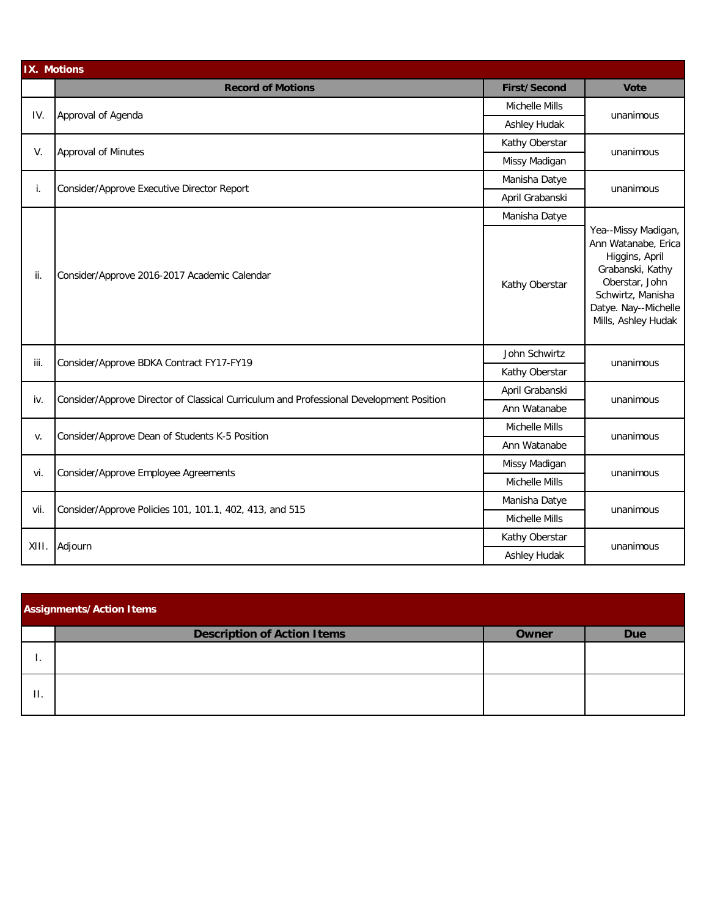| IX. Motions |                                                                                         |                     |                                                                                                                                                                        |  |  |  |  |
|-------------|-----------------------------------------------------------------------------------------|---------------------|------------------------------------------------------------------------------------------------------------------------------------------------------------------------|--|--|--|--|
|             | <b>Record of Motions</b>                                                                | <b>First/Second</b> | <b>Vote</b>                                                                                                                                                            |  |  |  |  |
| IV.         | Approval of Agenda                                                                      | Michelle Mills      | unanimous                                                                                                                                                              |  |  |  |  |
|             |                                                                                         | Ashley Hudak        |                                                                                                                                                                        |  |  |  |  |
| V.          | <b>Approval of Minutes</b>                                                              | Kathy Oberstar      |                                                                                                                                                                        |  |  |  |  |
|             |                                                                                         | Missy Madigan       | unanimous                                                                                                                                                              |  |  |  |  |
| i.          | Consider/Approve Executive Director Report                                              | Manisha Datye       |                                                                                                                                                                        |  |  |  |  |
|             |                                                                                         | April Grabanski     | unanimous                                                                                                                                                              |  |  |  |  |
|             |                                                                                         | Manisha Datye       |                                                                                                                                                                        |  |  |  |  |
| ii.         | Consider/Approve 2016-2017 Academic Calendar                                            | Kathy Oberstar      | Yea--Missy Madigan,<br>Ann Watanabe, Erica<br>Higgins, April<br>Grabanski, Kathy<br>Oberstar, John<br>Schwirtz, Manisha<br>Datye. Nay--Michelle<br>Mills, Ashley Hudak |  |  |  |  |
| iii.        | Consider/Approve BDKA Contract FY17-FY19                                                | John Schwirtz       | unanimous                                                                                                                                                              |  |  |  |  |
|             |                                                                                         | Kathy Oberstar      |                                                                                                                                                                        |  |  |  |  |
| iv.         | Consider/Approve Director of Classical Curriculum and Professional Development Position | April Grabanski     | unanimous                                                                                                                                                              |  |  |  |  |
|             |                                                                                         | Ann Watanabe        |                                                                                                                                                                        |  |  |  |  |
| v.          | Consider/Approve Dean of Students K-5 Position                                          | Michelle Mills      | unanimous                                                                                                                                                              |  |  |  |  |
|             |                                                                                         | Ann Watanabe        |                                                                                                                                                                        |  |  |  |  |
| vi.         | Consider/Approve Employee Agreements                                                    | Missy Madigan       | unanimous                                                                                                                                                              |  |  |  |  |
|             |                                                                                         | Michelle Mills      |                                                                                                                                                                        |  |  |  |  |
| vii.        | Consider/Approve Policies 101, 101.1, 402, 413, and 515                                 | Manisha Datye       | unanimous                                                                                                                                                              |  |  |  |  |
|             |                                                                                         | Michelle Mills      |                                                                                                                                                                        |  |  |  |  |
| XIII.       | Adjourn                                                                                 | Kathy Oberstar      | unanimous                                                                                                                                                              |  |  |  |  |
|             |                                                                                         | Ashley Hudak        |                                                                                                                                                                        |  |  |  |  |

| <b>Assignments/Action Items</b> |                                    |       |            |  |  |  |  |
|---------------------------------|------------------------------------|-------|------------|--|--|--|--|
|                                 | <b>Description of Action Items</b> | Owner | <b>Due</b> |  |  |  |  |
|                                 |                                    |       |            |  |  |  |  |
| $\Pi$ .                         |                                    |       |            |  |  |  |  |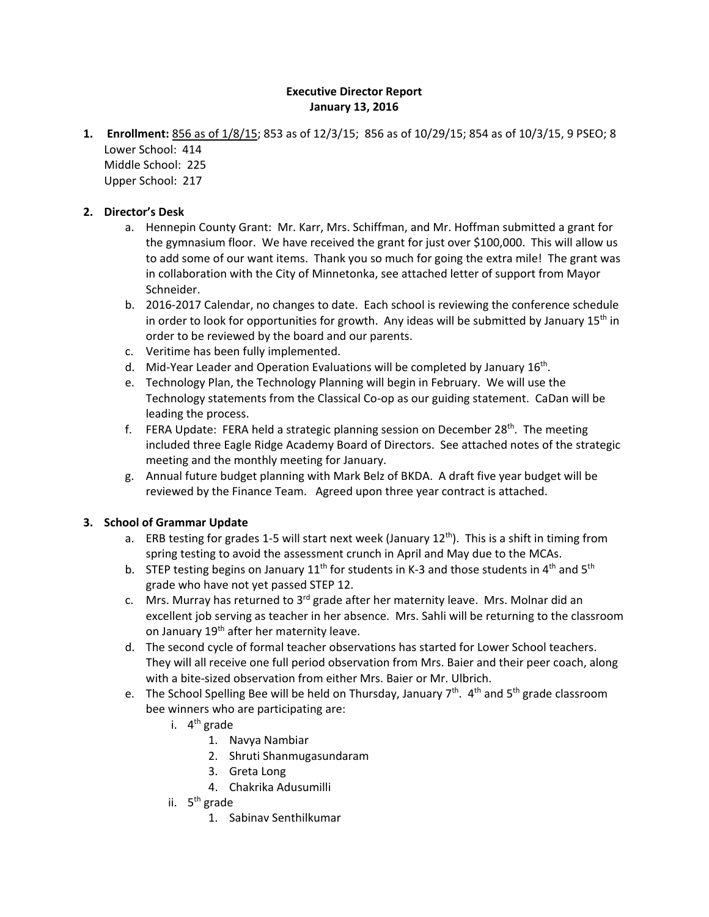#### **Executive Director Report January 13, 2016**

**1. Enrollment:** 856 as of 1/8/15; 853 as of 12/3/15; 856 as of 10/29/15; 854 as of 10/3/15, 9 PSEO; 8 Lower School: 414

Middle School: 225 Upper School: 217

#### **2. Director's Desk**

- a. Hennepin County Grant: Mr. Karr, Mrs. Schiffman, and Mr. Hoffman submitted a grant for the gymnasium floor. We have received the grant for just over \$100,000. This will allow us to add some of our want items. Thank you so much for going the extra mile! The grant was in collaboration with the City of Minnetonka, see attached letter of support from Mayor Schneider.
- b. 2016-2017 Calendar, no changes to date. Each school is reviewing the conference schedule in order to look for opportunities for growth. Any ideas will be submitted by January  $15<sup>th</sup>$  in order to be reviewed by the board and our parents.
- c. Veritime has been fully implemented.
- d. Mid-Year Leader and Operation Evaluations will be completed by January  $16<sup>th</sup>$ .
- e. Technology Plan, the Technology Planning will begin in February. We will use the Technology statements from the Classical Co-op as our guiding statement. CaDan will be leading the process.
- f. FERA Update: FERA held a strategic planning session on December 28<sup>th</sup>. The meeting included three Eagle Ridge Academy Board of Directors. See attached notes of the strategic meeting and the monthly meeting for January.
- g. Annual future budget planning with Mark Belz of BKDA. A draft five year budget will be reviewed by the Finance Team. Agreed upon three year contract is attached.

#### **3. School of Grammar Update**

- a. ERB testing for grades 1-5 will start next week (January 12<sup>th</sup>). This is a shift in timing from spring testing to avoid the assessment crunch in April and May due to the MCAs.
- b. STEP testing begins on January  $11^{th}$  for students in K-3 and those students in 4<sup>th</sup> and 5<sup>th</sup> grade who have not yet passed STEP 12.
- c. Mrs. Murray has returned to  $3<sup>rd</sup>$  grade after her maternity leave. Mrs. Molnar did an excellent job serving as teacher in her absence. Mrs. Sahli will be returning to the classroom on January 19<sup>th</sup> after her maternity leave.
- d. The second cycle of formal teacher observations has started for Lower School teachers. They will all receive one full period observation from Mrs. Baier and their peer coach, along with a bite-sized observation from either Mrs. Baier or Mr. Ulbrich.
- e. The School Spelling Bee will be held on Thursday, January  $7<sup>th</sup>$ . 4<sup>th</sup> and  $5<sup>th</sup>$  grade classroom bee winners who are participating are:
	- i.  $4^{th}$  grade
		- 1. Navya Nambiar
		- 2. Shruti Shanmugasundaram
		- 3. Greta Long
		- 4. Chakrika Adusumilli
	- ii.  $5<sup>th</sup>$  grade
		- 1. Sabinav Senthilkumar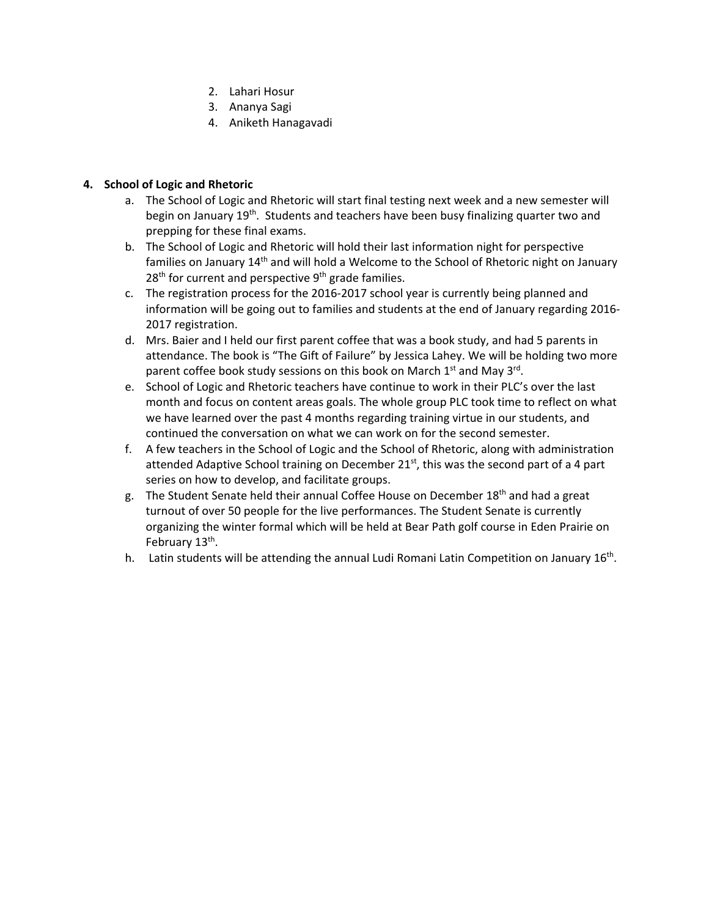- 2. Lahari Hosur
- 3. Ananya Sagi
- 4. Aniketh Hanagavadi

#### **4. School of Logic and Rhetoric**

- a. The School of Logic and Rhetoric will start final testing next week and a new semester will begin on January 19<sup>th</sup>. Students and teachers have been busy finalizing quarter two and prepping for these final exams.
- b. The School of Logic and Rhetoric will hold their last information night for perspective families on January 14<sup>th</sup> and will hold a Welcome to the School of Rhetoric night on January  $28<sup>th</sup>$  for current and perspective  $9<sup>th</sup>$  grade families.
- c. The registration process for the 2016-2017 school year is currently being planned and information will be going out to families and students at the end of January regarding 2016- 2017 registration.
- d. Mrs. Baier and I held our first parent coffee that was a book study, and had 5 parents in attendance. The book is "The Gift of Failure" by Jessica Lahey. We will be holding two more parent coffee book study sessions on this book on March  $1<sup>st</sup>$  and May  $3<sup>rd</sup>$ .
- e. School of Logic and Rhetoric teachers have continue to work in their PLC's over the last month and focus on content areas goals. The whole group PLC took time to reflect on what we have learned over the past 4 months regarding training virtue in our students, and continued the conversation on what we can work on for the second semester.
- f. A few teachers in the School of Logic and the School of Rhetoric, along with administration attended Adaptive School training on December 21<sup>st</sup>, this was the second part of a 4 part series on how to develop, and facilitate groups.
- g. The Student Senate held their annual Coffee House on December  $18<sup>th</sup>$  and had a great turnout of over 50 people for the live performances. The Student Senate is currently organizing the winter formal which will be held at Bear Path golf course in Eden Prairie on February 13<sup>th</sup>.
- h. Latin students will be attending the annual Ludi Romani Latin Competition on January  $16<sup>th</sup>$ .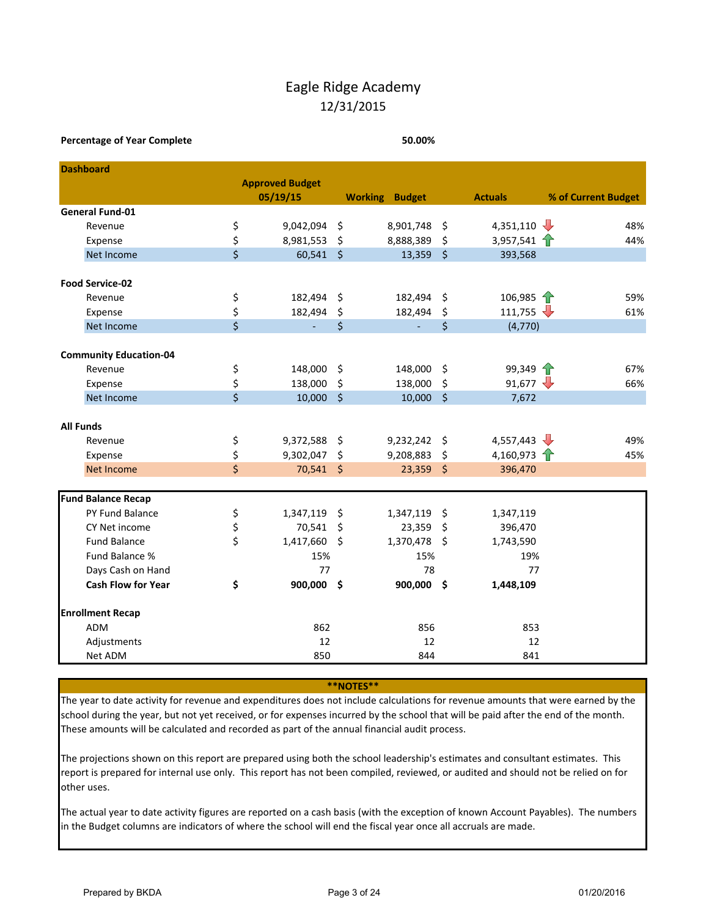## Eagle Ridge Academy 12/31/2015

#### **Percentage of Year Complete 50.00%**

|                  | <b>Dashboard</b>              |                         |                        |          |                       |          |                                                    |                     |
|------------------|-------------------------------|-------------------------|------------------------|----------|-----------------------|----------|----------------------------------------------------|---------------------|
|                  |                               |                         | <b>Approved Budget</b> |          |                       |          |                                                    |                     |
|                  |                               |                         | 05/19/15               |          | <b>Working Budget</b> |          | <b>Actuals</b>                                     | % of Current Budget |
|                  | <b>General Fund-01</b>        |                         |                        |          |                       |          |                                                    |                     |
|                  | Revenue                       | \$                      | 9,042,094              | \$       | 8,901,748             | \$       | 4,351,110 $\sqrt{ }$                               | 48%                 |
|                  | Expense                       | \$                      | 8,981,553              | \$       | 8,888,389             | \$       | 3,957,541 $\uparrow$                               | 44%                 |
|                  | Net Income                    | $\overline{\mathsf{S}}$ | $60,541$ \$            |          | 13,359                | $\zeta$  | 393,568                                            |                     |
|                  | <b>Food Service-02</b>        |                         |                        |          |                       |          |                                                    |                     |
|                  |                               |                         |                        | $\zeta$  |                       |          |                                                    | 59%                 |
|                  | Revenue                       | \$                      | 182,494                |          | 182,494               | \$       | 106,985 $\uparrow$<br>111,755 $\sqrt{\phantom{1}}$ |                     |
|                  | Expense                       | \$<br>\$                | 182,494<br>÷.          | \$<br>\$ | 182,494               | \$<br>\$ |                                                    | 61%                 |
|                  | Net Income                    |                         |                        |          |                       |          | (4,770)                                            |                     |
|                  | <b>Community Education-04</b> |                         |                        |          |                       |          |                                                    |                     |
|                  | Revenue                       | \$                      | 148,000                | $\zeta$  | 148,000               | \$       | 99,349                                             | 67%                 |
|                  | Expense                       | \$                      | 138,000                | \$       | 138,000               | \$       | 91,677 $\sqrt{ }$                                  | 66%                 |
|                  | Net Income                    | $\overline{\mathsf{S}}$ | 10,000                 | $\zeta$  | 10,000                | $\zeta$  | 7,672                                              |                     |
|                  |                               |                         |                        |          |                       |          |                                                    |                     |
| <b>All Funds</b> |                               |                         |                        |          |                       |          |                                                    |                     |
|                  | Revenue                       | \$                      | 9,372,588              | - \$     | 9,232,242 \$          |          | 4,557,443                                          | 49%                 |
|                  | Expense                       | \$                      | 9,302,047              | $\zeta$  | 9,208,883             | \$       | 4,160,973 $\uparrow$                               | 45%                 |
|                  | Net Income                    | \$                      | 70,541 \$              |          | 23,359                | \$       | 396,470                                            |                     |
|                  |                               |                         |                        |          |                       |          |                                                    |                     |
|                  | <b>Fund Balance Recap</b>     |                         |                        |          |                       |          |                                                    |                     |
|                  | PY Fund Balance               | \$                      | 1,347,119              | \$       | 1,347,119             | \$       | 1,347,119                                          |                     |
|                  | CY Net income                 | \$                      | 70,541                 | \$       | 23,359                | \$       | 396,470                                            |                     |
|                  | <b>Fund Balance</b>           | \$                      | 1,417,660              | -\$      | 1,370,478             | \$       | 1,743,590                                          |                     |
|                  | Fund Balance %                |                         | 15%                    |          | 15%                   |          | 19%                                                |                     |
|                  | Days Cash on Hand             |                         | 77                     |          | 78                    |          | 77                                                 |                     |
|                  | <b>Cash Flow for Year</b>     | \$                      | 900,000 \$             |          | 900,000 \$            |          | 1,448,109                                          |                     |
|                  | <b>Enrollment Recap</b>       |                         |                        |          |                       |          |                                                    |                     |
|                  | ADM                           |                         | 862                    |          | 856                   |          | 853                                                |                     |
|                  | Adjustments                   |                         | 12                     |          | 12                    |          | 12                                                 |                     |
|                  | Net ADM                       |                         | 850                    |          | 844                   |          | 841                                                |                     |

**\*\*NOTES\*\***

The year to date activity for revenue and expenditures does not include calculations for revenue amounts that were earned by the school during the year, but not yet received, or for expenses incurred by the school that will be paid after the end of the month. These amounts will be calculated and recorded as part of the annual financial audit process.

The projections shown on this report are prepared using both the school leadership's estimates and consultant estimates. This report is prepared for internal use only. This report has not been compiled, reviewed, or audited and should not be relied on for other uses.

The actual year to date activity figures are reported on a cash basis (with the exception of known Account Payables). The numbers in the Budget columns are indicators of where the school will end the fiscal year once all accruals are made.